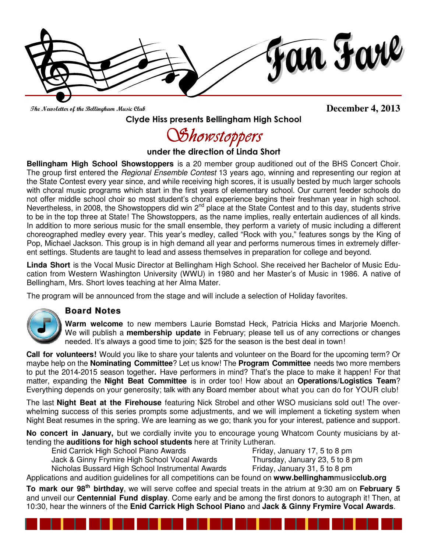fan Farl

The Newsletter of the Bellingham Music Club

**December 4, 2013** 

Clyde Hiss presents Bellingham High School

Showstoppers

under the direction of Linda Short

**Bellingham High School Showstoppers** is a 20 member group auditioned out of the BHS Concert Choir. The group first entered the Regional Ensemble Contest 13 years ago, winning and representing our region at the State Contest every year since, and while receiving high scores, it is usually bested by much larger schools with choral music programs which start in the first years of elementary school. Our current feeder schools do not offer middle school choir so most student's choral experience begins their freshman year in high school. Nevertheless, in 2008, the Showstoppers did win 2<sup>nd</sup> place at the State Contest and to this day, students strive to be in the top three at State! The Showstoppers, as the name implies, really entertain audiences of all kinds. In addition to more serious music for the small ensemble, they perform a variety of music including a different choreographed medley every year. This year's medley, called "Rock with you," features songs by the King of Pop, Michael Jackson. This group is in high demand all year and performs numerous times in extremely different settings. Students are taught to lead and assess themselves in preparation for college and beyond.

**Linda Short** is the Vocal Music Director at Bellingham High School. She received her Bachelor of Music Education from Western Washington University (WWU) in 1980 and her Master's of Music in 1986. A native of Bellingham, Mrs. Short loves teaching at her Alma Mater.

The program will be announced from the stage and will include a selection of Holiday favorites.

## **Board Notes**



**Warm welcome** to new members Laurie Bomstad Heck, Patricia Hicks and Marjorie Moench. We will publish a **membership update** in February; please tell us of any corrections or changes needed. It's always a good time to join; \$25 for the season is the best deal in town!

**Call for volunteers!** Would you like to share your talents and volunteer on the Board for the upcoming term? Or maybe help on the **Nominating Committee**? Let us know! The **Program Committee** needs two more members to put the 2014-2015 season together**.** Have performers in mind? That's the place to make it happen! For that matter, expanding the **Night Beat Committee** is in order too! How about an **Operations/Logistics Team**? Everything depends on your generosity; talk with any Board member about what you can do for YOUR club!

The last **Night Beat at the Firehouse** featuring Nick Strobel and other WSO musicians sold out! The overwhelming success of this series prompts some adjustments, and we will implement a ticketing system when Night Beat resumes in the spring. We are learning as we go; thank you for your interest, patience and support.

**No concert in January,** but we cordially invite you to encourage young Whatcom County musicians by attending the **auditions for high school students** here at Trinity Lutheran.

Enid Carrick High School Piano Awards Friday, January 17, 5 to 8 pm Jack & Ginny Frymire High School Vocal Awards Thursday, January 23, 5 to 8 pm

Nicholas Bussard High School Instrumental Awards Friday, January 31, 5 to 8 pm

Applications and audition guidelines for all competitions can be found on **www.bellinghammusicclub.org**

**To mark our 98th birthday**, we will serve coffee and special treats in the atrium at 9:30 am on **February 5** and unveil our **Centennial Fund display**. Come early and be among the first donors to autograph it! Then, at 10:30, hear the winners of the **Enid Carrick High School Piano** and **Jack & Ginny Frymire Vocal Awards**.